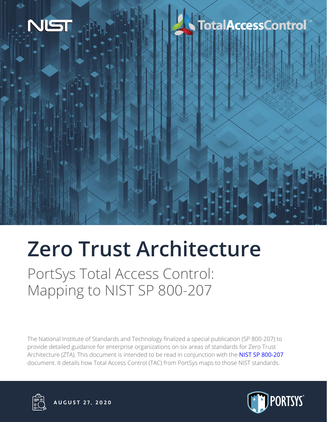

## **TotalAccessControl**

# **Zero Trust Architecture**

PortSys Total Access Control: Mapping to NIST SP 800-207

The National Institute of Standards and Technology finalized a special publication (SP 800-207) to provide detailed guidance for enterprise organizations on six areas of standards for Zero Trust Architecture (ZTA). This document is intended to be read in conjunction with the NIST SP 800-207 document. It details how Total Access Control (TAC) from PortSys maps to those NIST standards.





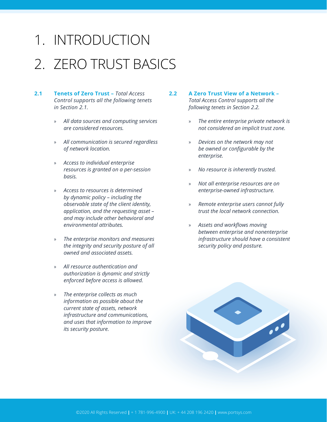### 1. INTRODUCTION

### 2. ZERO TRUST BASICS

- **2.1 Tenets of Zero Trust** *Total Access Control supports all the following tenets in Section 2.1.*
	- » *All data sources and computing services are considered resources.*
	- » *All communication is secured regardless of network location.*
	- » *Access to individual enterprise resources is granted on a per-session basis.*
	- » *Access to resources is determined by dynamic policy – including the observable state of the client identity, application, and the requesting asset – and may include other behavioral and environmental attributes.*
	- » *The enterprise monitors and measures the integrity and security posture of all owned and associated assets.*
	- » *All resource authentication and authorization is dynamic and strictly enforced before access is allowed.*
	- » *The enterprise collects as much information as possible about the current state of assets, network infrastructure and communications, and uses that information to improve its security posture.*
- **2.2 A Zero Trust View of a Network**  *Total Access Control supports all the following tenets in Section 2.2.*
	- » *The entire enterprise private network is not considered an implicit trust zone.*
	- » *Devices on the network may not be owned or configurable by the enterprise.*
	- » *No resource is inherently trusted.*
	- » *Not all enterprise resources are on enterprise-owned infrastructure.*
	- » *Remote enterprise users cannot fully trust the local network connection.*
	- » *Assets and workflows moving between enterprise and nonenterprise infrastructure should have a consistent security policy and posture.*

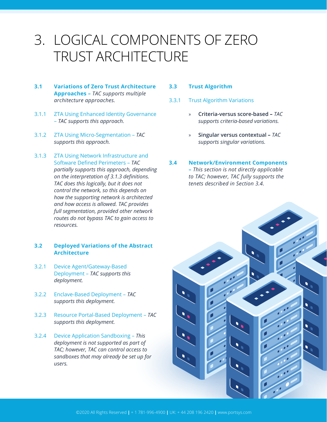### 3. LOGICAL COMPONENTS OF ZERO TRUST ARCHITECTURE

- **3.1 Variations of Zero Trust Architecture Approaches –** *TAC supports multiple architecture approaches.*
- 3.1.1 ZTA Using Enhanced Identity Governance – *TAC supports this approach.*
- 3.1.2 ZTA Using Micro-Segmentation *TAC supports this approach.*
- 3.1.3 ZTA Using Network Infrastructure and Software Defined Perimeters – *TAC partially supports this approach, depending on the interpretation of 3.1.3 definitions. TAC does this logically, but it does not control the network, so this depends on how the supporting network is architected and how access is allowed. TAC provides full segmentation, provided other network routes do not bypass TAC to gain access to resources.*

#### **3.2 Deployed Variations of the Abstract Architecture**

- 3.2.1 Device Agent/Gateway-Based Deployment – *TAC supports this deployment.*
- 3.2.2 Enclave-Based Deployment – *TAC supports this deployment.*
- 3.2.3 Resource Portal-Based Deployment *TAC supports this deployment.*
- 3.2.4 Device Application Sandboxing *This deployment is not supported as part of TAC; however, TAC can control access to sandboxes that may already be set up for users.*

#### **3.3 Trust Algorithm**

- 3.3.1 Trust Algorithm Variations
	- » **Criteria-versus score-based –** *TAC supports criteria-based variations.*
	- » **Singular versus contextual –** *TAC supports singular variations.*

#### **3.4 Network/Environment Components**

**–** *This section is not directly applicable to TAC; however, TAC fully supports the tenets described in Section 3.4.*

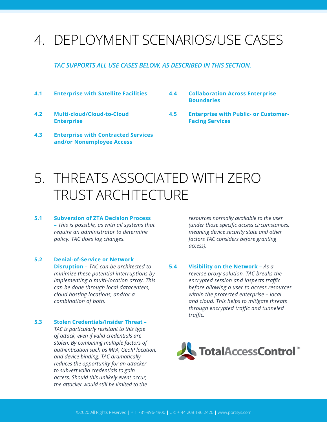### 4. DEPLOYMENT SCENARIOS/USE CASES

#### *TAC SUPPORTS ALL USE CASES BELOW, AS DESCRIBED IN THIS SECTION.*

- **4.1 Enterprise with Satellite Facilities**
- **4.2 Multi-cloud/Cloud-to-Cloud Enterprise**
- **4.3 Enterprise with Contracted Services and/or Nonemployee Access**
- **4.4 Collaboration Across Enterprise Boundaries**
- **4.5 Enterprise with Public- or Customer-Facing Services**

### 5. THREATS ASSOCIATED WITH ZERO TRUST ARCHITECTURE

- **5.1 Subversion of ZTA Decision Process –** *This is possible, as with all systems that require an administrator to determine policy. TAC does log changes.*
- **5.2 Denial-of-Service or Network Disruption –** *TAC can be architected to minimize these potential interruptions by implementing a multi-location array. This can be done through local datacenters, cloud hosting locations, and/or a combination of both.*

#### **5.3 Stolen Credentials/Insider Threat –**

*TAC is particularly resistant to this type of attack, even if valid credentials are stolen. By combining multiple factors of authentication such as MFA, GeoIP location, and device binding. TAC dramatically reduces the opportunity for an attacker to subvert valid credentials to gain access. Should this unlikely event occur, the attacker would still be limited to the* 

*resources normally available to the user (under those specific access circumstances, meaning device security state and other factors TAC considers before granting access).*

**5.4 Visibility on the Network –** *As a reverse proxy solution, TAC breaks the encrypted session and inspects traffic before allowing a user to access resources within the protected enterprise – local and cloud. This helps to mitigate threats through encrypted traffic and tunneled traffic.*

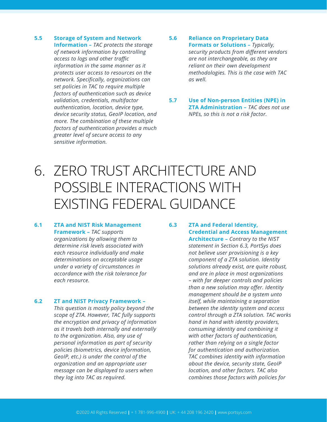**5.5 Storage of System and Network Information –** *TAC protects the storage of network information by controlling access to logs and other traffic information in the same manner as it protects user access to resources on the network. Specifically, organizations can set policies in TAC to require multiple factors of authentication such as device validation, credentials, multifactor authentication, location, device type, device security status, GeoIP location, and more. The combination of these multiple factors of authentication provides a much greater level of secure access to any sensitive information.*

#### **5.6 Reliance on Proprietary Data Formats or Solutions –** *Typically, security products from different vendors are not interchangeable, as they are reliant on their own development methodologies. This is the case with TAC as well.*

**5.7 Use of Non-person Entities (NPE) in ZTA Administration –** *TAC does not use NPEs, so this is not a risk factor.*

### 6. ZERO TRUST ARCHITECTURE AND POSSIBLE INTERACTIONS WITH EXISTING FEDERAL GUIDANCE

#### **6.1 ZTA and NIST Risk Management Framework –** *TAC supports organizations by allowing them to determine risk levels associated with each resource individually and make determinations on acceptable usage under a variety of circumstances in accordance with the risk tolerance for each resource.*

#### **6.2 ZT and NIST Privacy Framework –**

*This question is mostly policy beyond the scope of ZTA. However, TAC fully supports the encryption and privacy of information as it travels both internally and externally to the organization. Also, any use of personal information as part of security policies (biometrics, device information, GeoIP, etc.) is under the control of the organization and an appropriate user message can be displayed to users when they log into TAC as required.*

#### **6.3 ZTA and Federal Identity, Credential and Access Management**

**Architecture –** *Contrary to the NIST statement in Section 6.3, PortSys does not believe user provisioning is a key component of a ZTA solution. Identity solutions already exist, are quite robust, and are in place in most organizations – with far deeper controls and policies than a new solution may offer. Identity management should be a system unto itself, while maintaining a separation between the identity system and access control through a ZTA solution. TAC works hand in hand with identity providers, consuming identity and combining it with other factors of authentication, rather than relying on a single factor for authentication and authorization. TAC combines identity with information about the device, security state, GeoIP location, and other factors. TAC also combines those factors with policies for*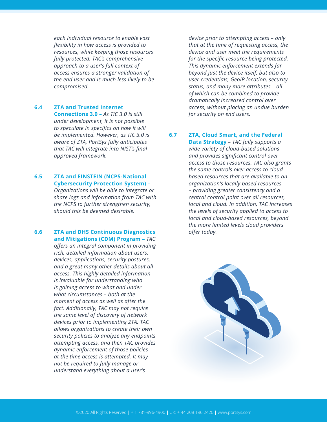*each individual resource to enable vast flexibility in how access is provided to resources, while keeping those resources fully protected. TAC's comprehensive approach to a user's full context of access ensures a stronger validation of the end user and is much less likely to be compromised.*

#### **6.4 ZTA and Trusted Internet**

**Connections 3.0 –** *As TIC 3.0 is still under development, it is not possible to speculate in specifics on how it will be implemented. However, as TIC 3.0 is aware of ZTA, PortSys fully anticipates that TAC will integrate into NIST's final approved framework.*

#### **6.5 ZTA and EINSTEIN (NCPS-National Cybersecurity Protection System) –**

*Organizations will be able to integrate or share logs and information from TAC with the NCPS to further strengthen security, should this be deemed desirable.*

#### **6.6 ZTA and DHS Continuous Diagnostics and Mitigations (CDM) Program –** *TAC*

*offers an integral component in providing rich, detailed information about users, devices, applications, security postures, and a great many other details about all access. This highly detailed information is invaluable for understanding who is gaining access to what and under what circumstances – both at the moment of access as well as after the fact. Additionally, TAC may not require the same level of discovery of network devices prior to implementing ZTA. TAC allows organizations to create their own security policies to analyze any endpoints attempting access, and then TAC provides dynamic enforcement of those policies at the time access is attempted. It may not be required to fully manage or understand everything about a user's* 

*device prior to attempting access – only that at the time of requesting access, the device and user meet the requirements for the specific resource being protected. This dynamic enforcement extends far beyond just the device itself, but also to user credentials, GeoIP location, security status, and many more attributes – all of which can be combined to provide dramatically increased control over access, without placing an undue burden for security on end users.*

#### **6.7 ZTA, Cloud Smart, and the Federal**

**Data Strategy** *– TAC fully supports a wide variety of cloud-based solutions and provides significant control over access to those resources. TAC also grants the same controls over access to cloudbased resources that are available to an organization's locally based resources – providing greater consistency and a central control point over all resources, local and cloud. In addition, TAC increases the levels of security applied to access to local and cloud-based resources, beyond the more limited levels cloud providers offer today.*

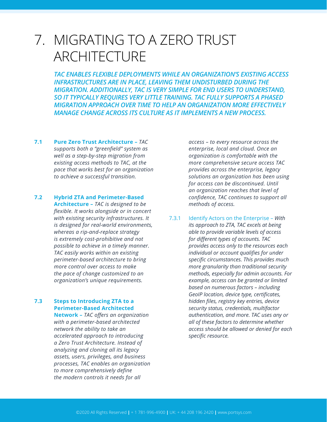### 7. MIGRATING TO A ZERO TRUST ARCHITECTURE

*TAC ENABLES FLEXIBLE DEPLOYMENTS WHILE AN ORGANIZATION'S EXISTING ACCESS INFRASTRUCTURES ARE IN PLACE, LEAVING THEM UNDISTURBED DURING THE MIGRATION. ADDITIONALLY, TAC IS VERY SIMPLE FOR END USERS TO UNDERSTAND, SO IT TYPICALLY REQUIRES VERY LITTLE TRAINING. TAC FULLY SUPPORTS A PHASED MIGRATION APPROACH OVER TIME TO HELP AN ORGANIZATION MORE EFFECTIVELY MANAGE CHANGE ACROSS ITS CULTURE AS IT IMPLEMENTS A NEW PROCESS.*

- **7.1 Pure Zero Trust Architecture** *TAC supports both a "greenfield" system as well as a step-by-step migration from existing access methods to TAC, at the pace that works best for an organization to achieve a successful transition.*
- **7.2 Hybrid ZTA and Perimeter-Based Architecture –** *TAC is designed to be flexible. It works alongside or in concert with existing security infrastructures. It is designed for real-world environments, whereas a rip-and-replace strategy is extremely cost-prohibitive and not possible to achieve in a timely manner. TAC easily works within an existing perimeter-based architecture to bring more control over access to make the pace of change customized to an organization's unique requirements.*

#### **7.3 Steps to Introducing ZTA to a Perimeter-Based Architected**

**Network –** *TAC offers an organization with a perimeter-based architected network the ability to take an accelerated approach to introducing a Zero Trust Architecture. Instead of analyzing and cloning all its legacy assets, users, privileges, and business processes, TAC enables an organization to more comprehensively define the modern controls it needs for all* 

*access – to every resource across the enterprise, local and cloud. Once an organization is comfortable with the more comprehensive secure access TAC provides across the enterprise, legacy solutions an organization has been using for access can be discontinued. Until an organization reaches that level of confidence, TAC continues to support all methods of access.*

7.3.1 Identify Actors on the Enterprise – *With its approach to ZTA, TAC excels at being able to provide variable levels of access for different types of accounts. TAC provides access only to the resources each individual or account qualifies for under specific circumstances. This provides much more granularity than traditional security methods, especially for admin accounts. For example, access can be granted or limited based on numerous factors – including GeoIP location, device type, certificates, hidden files, registry key entries, device security status, credentials, multifactor authentication, and more. TAC uses any or all of these factors to determine whether access should be allowed or denied for each specific resource.*